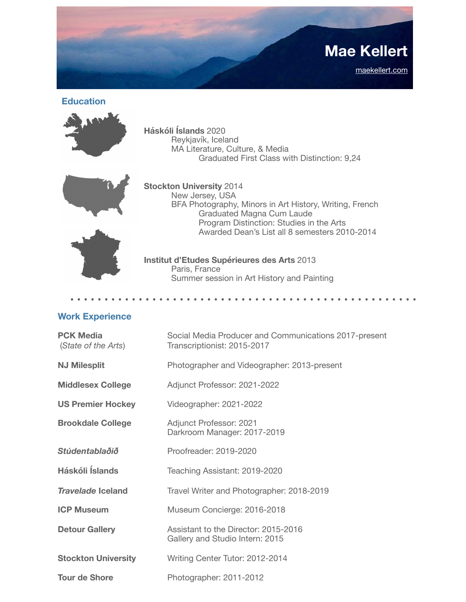# **Mae Kellert**  [maekellert.com](http://maekellert.com)

#### **Education**



 **Háskóli Íslands** 2020 Reykjavík, Iceland MA Literature, Culture, & Media Graduated First Class with Distinction: 9,24



**Contract of the Second State** 

 **Stockton University** 2014 New Jersey, USA BFA Photography, Minors in Art History, Writing, French Graduated Magna Cum Laude Program Distinction: Studies in the Arts Awarded Dean's List all 8 semesters 2010-2014



**Work Experience** 

| <b>PCK Media</b><br>(State of the Arts) | Social Media Producer and Communications 2017-present<br>Transcriptionist: 2015-2017 |
|-----------------------------------------|--------------------------------------------------------------------------------------|
| <b>NJ Milesplit</b>                     | Photographer and Videographer: 2013-present                                          |
| <b>Middlesex College</b>                | Adjunct Professor: 2021-2022                                                         |
| <b>US Premier Hockey</b>                | Videographer: 2021-2022                                                              |
| <b>Brookdale College</b>                | Adjunct Professor: 2021<br>Darkroom Manager: 2017-2019                               |
| Stúdentablaðið                          | Proofreader: 2019-2020                                                               |
| Háskóli Íslands                         | Teaching Assistant: 2019-2020                                                        |
| <b>Travelade Iceland</b>                | Travel Writer and Photographer: 2018-2019                                            |
| <b>ICP Museum</b>                       | Museum Concierge: 2016-2018                                                          |
| <b>Detour Gallery</b>                   | Assistant to the Director: 2015-2016<br>Gallery and Studio Intern: 2015              |
| <b>Stockton University</b>              | Writing Center Tutor: 2012-2014                                                      |
| <b>Tour de Shore</b>                    | Photographer: 2011-2012                                                              |